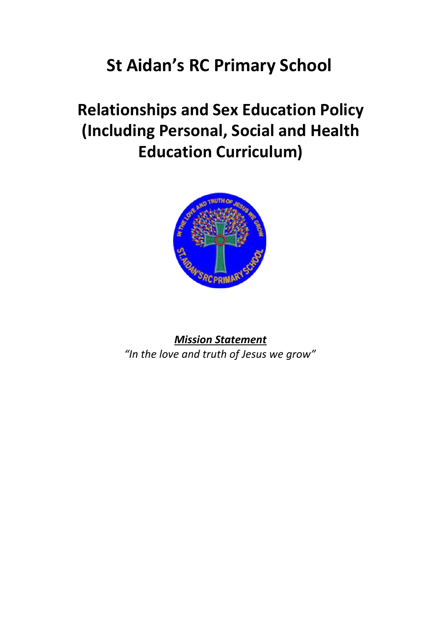# **St Aidan's RC Primary School**

# **Relationships and Sex Education Policy (Including Personal, Social and Health Education Curriculum)**



*Mission Statement "In the love and truth of Jesus we grow"*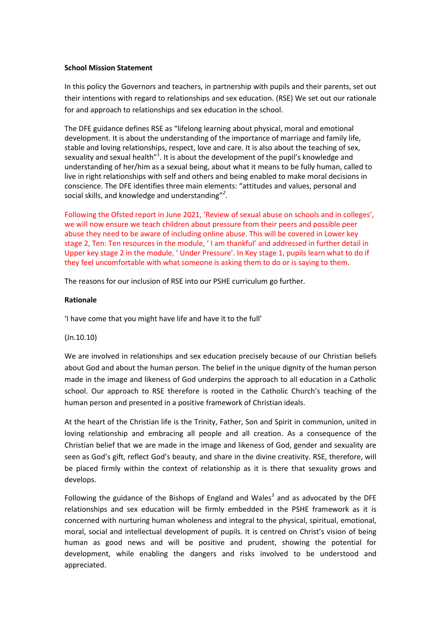#### **School Mission Statement**

In this policy the Governors and teachers, in partnership with pupils and their parents, set out their intentions with regard to relationships and sex education. (RSE) We set out our rationale for and approach to relationships and sex education in the school.

The DFE guidance defines RSE as "lifelong learning about physical, moral and emotional development. It is about the understanding of the importance of marriage and family life, stable and loving relationships, respect, love and care. It is also about the teaching of sex, sexuality and sexual health"<sup>1</sup>. It is about the development of the pupil's knowledge and understanding of her/him as a sexual being, about what it means to be fully human, called to live in right relationships with self and others and being enabled to make moral decisions in conscience. The DFE identifies three main elements: "attitudes and values, personal and social skills, and knowledge and understanding"*<sup>2</sup>* .

Following the Ofsted report in June 2021, 'Review of sexual abuse on schools and in colleges', we will now ensure we teach children about pressure from their peers and possible peer abuse they need to be aware of including online abuse. This will be covered in Lower key stage 2, Ten: Ten resources in the module, ' I am thankful' and addressed in further detail in Upper key stage 2 in the module, ' Under Pressure'. In Key stage 1, pupils learn what to do if they feel uncomfortable with what someone is asking them to do or is saying to them.

The reasons for our inclusion of RSE into our PSHE curriculum go further.

## **Rationale**

'I have come that you might have life and have it to the full'

## (Jn.10.10)

We are involved in relationships and sex education precisely because of our Christian beliefs about God and about the human person. The belief in the unique dignity of the human person made in the image and likeness of God underpins the approach to all education in a Catholic school. Our approach to RSE therefore is rooted in the Catholic Church's teaching of the human person and presented in a positive framework of Christian ideals.

At the heart of the Christian life is the Trinity, Father, Son and Spirit in communion, united in loving relationship and embracing all people and all creation. As a consequence of the Christian belief that we are made in the image and likeness of God, gender and sexuality are seen as God's gift, reflect God's beauty, and share in the divine creativity. RSE, therefore, will be placed firmly within the context of relationship as it is there that sexuality grows and develops.

Following the guidance of the Bishops of England and Wales<sup>3</sup> and as advocated by the DFE relationships and sex education will be firmly embedded in the PSHE framework as it is concerned with nurturing human wholeness and integral to the physical, spiritual, emotional, moral, social and intellectual development of pupils. It is centred on Christ's vision of being human as good news and will be positive and prudent, showing the potential for development, while enabling the dangers and risks involved to be understood and appreciated.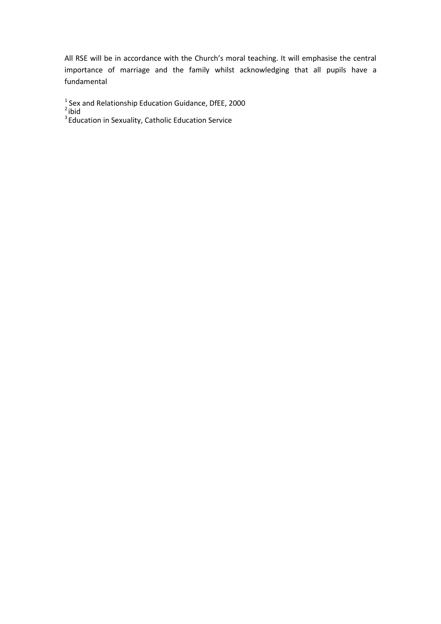All RSE will be in accordance with the Church's moral teaching. It will emphasise the central importance of marriage and the family whilst acknowledging that all pupils have a fundamental

<sup>1</sup> Sex and Relationship Education Guidance, DfEE, 2000<br><sup>2</sup>ibid<br><sup>3</sup>Education in Sexuality, Catholic Education Service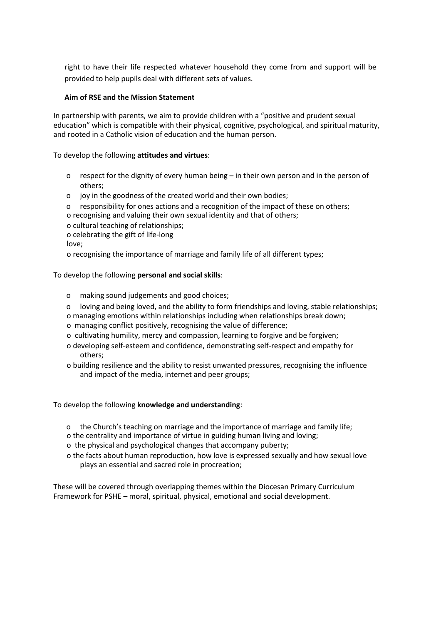right to have their life respected whatever household they come from and support will be provided to help pupils deal with different sets of values.

## **Aim of RSE and the Mission Statement**

In partnership with parents, we aim to provide children with a "positive and prudent sexual education" which is compatible with their physical, cognitive, psychological, and spiritual maturity, and rooted in a Catholic vision of education and the human person.

To develop the following **attitudes and virtues**:

- o respect for the dignity of every human being in their own person and in the person of others;
- o joy in the goodness of the created world and their own bodies;
- o responsibility for ones actions and a recognition of the impact of these on others;
- o recognising and valuing their own sexual identity and that of others;
- o cultural teaching of relationships;
- o celebrating the gift of life-long

love;

o recognising the importance of marriage and family life of all different types;

To develop the following **personal and social skills**:

- o making sound judgements and good choices;
- o loving and being loved, and the ability to form friendships and loving, stable relationships;
- o managing emotions within relationships including when relationships break down;
- o managing conflict positively, recognising the value of difference;
- o cultivating humility, mercy and compassion, learning to forgive and be forgiven;
- o developing self-esteem and confidence, demonstrating self-respect and empathy for others;
- o building resilience and the ability to resist unwanted pressures, recognising the influence and impact of the media, internet and peer groups;

To develop the following **knowledge and understanding**:

- o the Church's teaching on marriage and the importance of marriage and family life;
- o the centrality and importance of virtue in guiding human living and loving;
- o the physical and psychological changes that accompany puberty;
- o the facts about human reproduction, how love is expressed sexually and how sexual love plays an essential and sacred role in procreation;

These will be covered through overlapping themes within the Diocesan Primary Curriculum Framework for PSHE – moral, spiritual, physical, emotional and social development.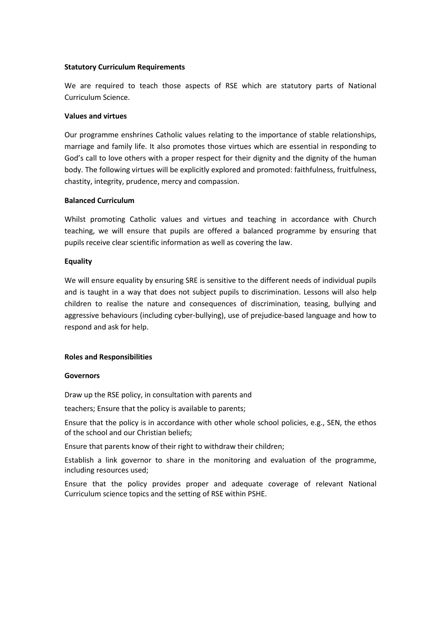## **Statutory Curriculum Requirements**

We are required to teach those aspects of RSE which are statutory parts of National Curriculum Science.

#### **Values and virtues**

Our programme enshrines Catholic values relating to the importance of stable relationships, marriage and family life. It also promotes those virtues which are essential in responding to God's call to love others with a proper respect for their dignity and the dignity of the human body. The following virtues will be explicitly explored and promoted: faithfulness, fruitfulness, chastity, integrity, prudence, mercy and compassion.

## **Balanced Curriculum**

Whilst promoting Catholic values and virtues and teaching in accordance with Church teaching, we will ensure that pupils are offered a balanced programme by ensuring that pupils receive clear scientific information as well as covering the law.

#### **Equality**

We will ensure equality by ensuring SRE is sensitive to the different needs of individual pupils and is taught in a way that does not subject pupils to discrimination. Lessons will also help children to realise the nature and consequences of discrimination, teasing, bullying and aggressive behaviours (including cyber‐bullying), use of prejudice‐based language and how to respond and ask for help.

## **Roles and Responsibilities**

#### **Governors**

Draw up the RSE policy, in consultation with parents and

teachers; Ensure that the policy is available to parents;

Ensure that the policy is in accordance with other whole school policies, e.g., SEN, the ethos of the school and our Christian beliefs;

Ensure that parents know of their right to withdraw their children;

Establish a link governor to share in the monitoring and evaluation of the programme, including resources used;

Ensure that the policy provides proper and adequate coverage of relevant National Curriculum science topics and the setting of RSE within PSHE.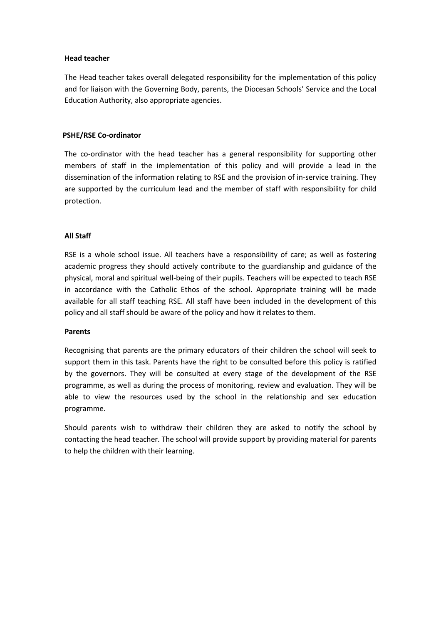#### **Head teacher**

The Head teacher takes overall delegated responsibility for the implementation of this policy and for liaison with the Governing Body, parents, the Diocesan Schools' Service and the Local Education Authority, also appropriate agencies.

## **PSHE/RSE Co‐ordinator**

The co-ordinator with the head teacher has a general responsibility for supporting other members of staff in the implementation of this policy and will provide a lead in the dissemination of the information relating to RSE and the provision of in‐service training. They are supported by the curriculum lead and the member of staff with responsibility for child protection.

# **All Staff**

RSE is a whole school issue. All teachers have a responsibility of care; as well as fostering academic progress they should actively contribute to the guardianship and guidance of the physical, moral and spiritual well‐being of their pupils. Teachers will be expected to teach RSE in accordance with the Catholic Ethos of the school. Appropriate training will be made available for all staff teaching RSE. All staff have been included in the development of this policy and all staff should be aware of the policy and how it relates to them.

## **Parents**

Recognising that parents are the primary educators of their children the school will seek to support them in this task. Parents have the right to be consulted before this policy is ratified by the governors. They will be consulted at every stage of the development of the RSE programme, as well as during the process of monitoring, review and evaluation. They will be able to view the resources used by the school in the relationship and sex education programme.

Should parents wish to withdraw their children they are asked to notify the school by contacting the head teacher. The school will provide support by providing material for parents to help the children with their learning.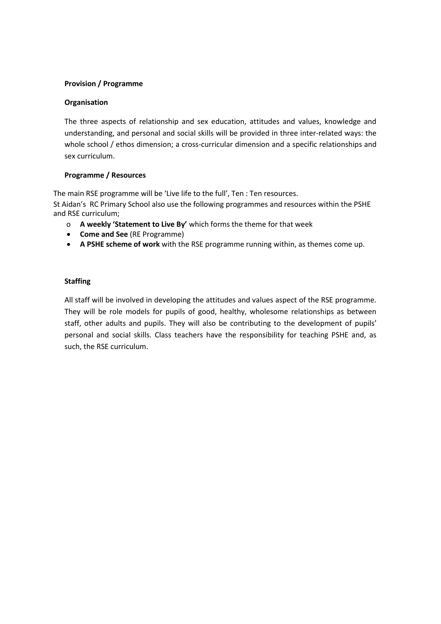# **Provision / Programme**

## **Organisation**

The three aspects of relationship and sex education, attitudes and values, knowledge and understanding, and personal and social skills will be provided in three inter‐related ways: the whole school / ethos dimension; a cross-curricular dimension and a specific relationships and sex curriculum.

# **Programme / Resources**

The main RSE programme will be 'Live life to the full', Ten : Ten resources. St Aidan's RC Primary School also use the following programmes and resources within the PSHE and RSE curriculum;

- o **A weekly 'Statement to Live By'** which forms the theme for that week
- **Come and See** (RE Programme)
- **A PSHE scheme of work** with the RSE programme running within, as themes come up.

# **Staffing**

All staff will be involved in developing the attitudes and values aspect of the RSE programme. They will be role models for pupils of good, healthy, wholesome relationships as between staff, other adults and pupils. They will also be contributing to the development of pupils' personal and social skills. Class teachers have the responsibility for teaching PSHE and, as such, the RSE curriculum.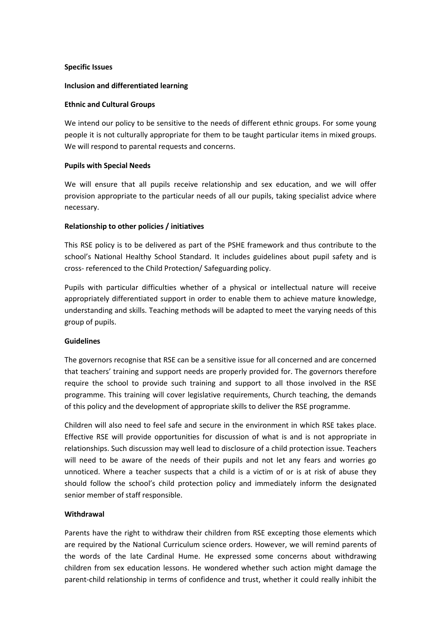#### **Specific Issues**

#### **Inclusion and differentiated learning**

#### **Ethnic and Cultural Groups**

We intend our policy to be sensitive to the needs of different ethnic groups. For some young people it is not culturally appropriate for them to be taught particular items in mixed groups. We will respond to parental requests and concerns.

#### **Pupils with Special Needs**

We will ensure that all pupils receive relationship and sex education, and we will offer provision appropriate to the particular needs of all our pupils, taking specialist advice where necessary.

#### **Relationship to other policies / initiatives**

This RSE policy is to be delivered as part of the PSHE framework and thus contribute to the school's National Healthy School Standard. It includes guidelines about pupil safety and is cross‐ referenced to the Child Protection/ Safeguarding policy.

Pupils with particular difficulties whether of a physical or intellectual nature will receive appropriately differentiated support in order to enable them to achieve mature knowledge, understanding and skills. Teaching methods will be adapted to meet the varying needs of this group of pupils.

## **Guidelines**

The governors recognise that RSE can be a sensitive issue for all concerned and are concerned that teachers' training and support needs are properly provided for. The governors therefore require the school to provide such training and support to all those involved in the RSE programme. This training will cover legislative requirements, Church teaching, the demands of this policy and the development of appropriate skills to deliver the RSE programme.

Children will also need to feel safe and secure in the environment in which RSE takes place. Effective RSE will provide opportunities for discussion of what is and is not appropriate in relationships. Such discussion may well lead to disclosure of a child protection issue. Teachers will need to be aware of the needs of their pupils and not let any fears and worries go unnoticed. Where a teacher suspects that a child is a victim of or is at risk of abuse they should follow the school's child protection policy and immediately inform the designated senior member of staff responsible.

## **Withdrawal**

Parents have the right to withdraw their children from RSE excepting those elements which are required by the National Curriculum science orders. However, we will remind parents of the words of the late Cardinal Hume. He expressed some concerns about withdrawing children from sex education lessons. He wondered whether such action might damage the parent-child relationship in terms of confidence and trust, whether it could really inhibit the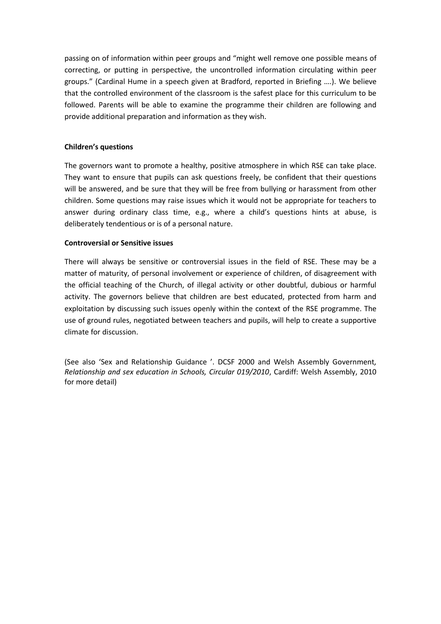passing on of information within peer groups and "might well remove one possible means of correcting, or putting in perspective, the uncontrolled information circulating within peer groups." (Cardinal Hume in a speech given at Bradford, reported in Briefing ….). We believe that the controlled environment of the classroom is the safest place for this curriculum to be followed. Parents will be able to examine the programme their children are following and provide additional preparation and information as they wish.

## **Children's questions**

The governors want to promote a healthy, positive atmosphere in which RSE can take place. They want to ensure that pupils can ask questions freely, be confident that their questions will be answered, and be sure that they will be free from bullying or harassment from other children. Some questions may raise issues which it would not be appropriate for teachers to answer during ordinary class time, e.g., where a child's questions hints at abuse, is deliberately tendentious or is of a personal nature.

# **Controversial or Sensitive issues**

There will always be sensitive or controversial issues in the field of RSE. These may be a matter of maturity, of personal involvement or experience of children, of disagreement with the official teaching of the Church, of illegal activity or other doubtful, dubious or harmful activity. The governors believe that children are best educated, protected from harm and exploitation by discussing such issues openly within the context of the RSE programme. The use of ground rules, negotiated between teachers and pupils, will help to create a supportive climate for discussion.

(See also 'Sex and Relationship Guidance '. DCSF 2000 and Welsh Assembly Government*, Relationship and sex education in Schools, Circular 019/2010*, Cardiff: Welsh Assembly, 2010 for more detail)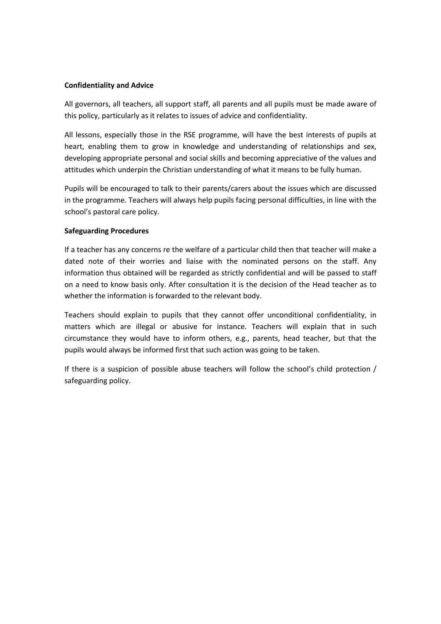#### **Confidentiality and Advice**

All governors, all teachers, all support staff, all parents and all pupils must be made aware of this policy, particularly as it relates to issues of advice and confidentiality.

All lessons, especially those in the RSE programme, will have the best interests of pupils at heart, enabling them to grow in knowledge and understanding of relationships and sex, developing appropriate personal and social skills and becoming appreciative of the values and attitudes which underpin the Christian understanding of what it means to be fully human.

Pupils will be encouraged to talk to their parents/carers about the issues which are discussed in the programme. Teachers will always help pupils facing personal difficulties, in line with the school's pastoral care policy.

#### **Safeguarding Procedures**

If a teacher has any concerns re the welfare of a particular child then that teacher will make a dated note of their worries and liaise with the nominated persons on the staff. Any information thus obtained will be regarded as strictly confidential and will be passed to staff on a need to know basis only. After consultation it is the decision of the Head teacher as to whether the information is forwarded to the relevant body.

Teachers should explain to pupils that they cannot offer unconditional confidentiality, in matters which are illegal or abusive for instance. Teachers will explain that in such circumstance they would have to inform others, e.g., parents, head teacher, but that the pupils would always be informed first that such action was going to be taken.

If there is a suspicion of possible abuse teachers will follow the school's child protection / safeguarding policy.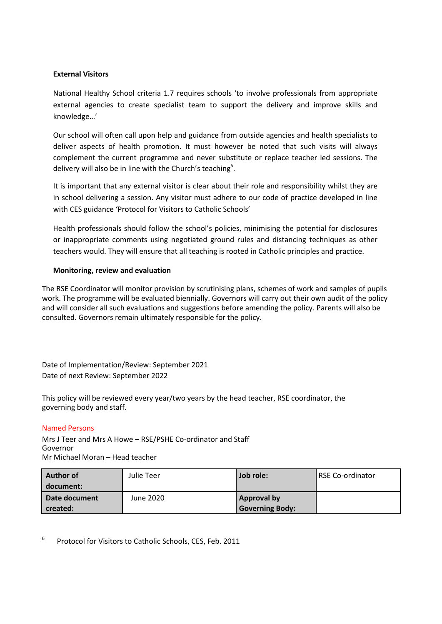# **External Visitors**

National Healthy School criteria 1.7 requires schools 'to involve professionals from appropriate external agencies to create specialist team to support the delivery and improve skills and knowledge…'

Our school will often call upon help and guidance from outside agencies and health specialists to deliver aspects of health promotion. It must however be noted that such visits will always complement the current programme and never substitute or replace teacher led sessions. The delivery will also be in line with the Church's teaching<sup>6</sup>.

It is important that any external visitor is clear about their role and responsibility whilst they are in school delivering a session. Any visitor must adhere to our code of practice developed in line with CES guidance 'Protocol for Visitors to Catholic Schools'

Health professionals should follow the school's policies, minimising the potential for disclosures or inappropriate comments using negotiated ground rules and distancing techniques as other teachers would. They will ensure that all teaching is rooted in Catholic principles and practice.

# **Monitoring, review and evaluation**

The RSE Coordinator will monitor provision by scrutinising plans, schemes of work and samples of pupils work. The programme will be evaluated biennially. Governors will carry out their own audit of the policy and will consider all such evaluations and suggestions before amending the policy. Parents will also be consulted. Governors remain ultimately responsible for the policy.

Date of Implementation/Review: September 2021 Date of next Review: September 2022

This policy will be reviewed every year/two years by the head teacher, RSE coordinator, the governing body and staff.

## Named Persons

Mrs J Teer and Mrs A Howe – RSE/PSHE Co-ordinator and Staff Governor Mr Michael Moran – Head teacher

| Author of     | Julie Teer | Job role:              | <b>RSE Co-ordinator</b> |
|---------------|------------|------------------------|-------------------------|
| document:     |            |                        |                         |
| Date document | June 2020  | <b>Approval by</b>     |                         |
| created:      |            | <b>Governing Body:</b> |                         |

6 Protocol for Visitors to Catholic Schools, CES, Feb. 2011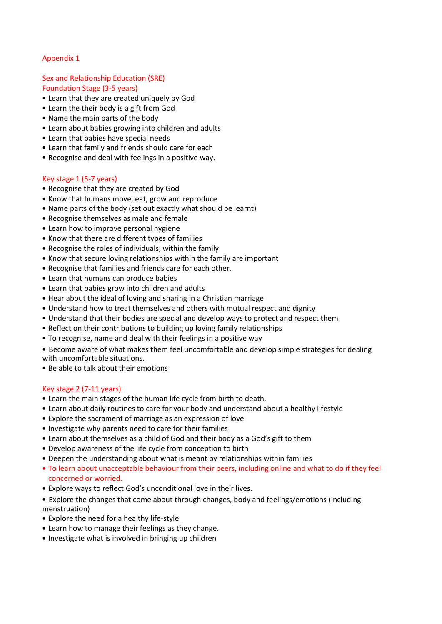# Appendix 1

# Sex and Relationship Education (SRE) Foundation Stage (3-5 years)

- Learn that they are created uniquely by God
- Learn the their body is a gift from God
- Name the main parts of the body
- Learn about babies growing into children and adults
- Learn that babies have special needs
- Learn that family and friends should care for each
- Recognise and deal with feelings in a positive way.

## Key stage 1 (5-7 years)

- Recognise that they are created by God
- Know that humans move, eat, grow and reproduce
- Name parts of the body (set out exactly what should be learnt)
- Recognise themselves as male and female
- Learn how to improve personal hygiene
- Know that there are different types of families
- Recognise the roles of individuals, within the family
- Know that secure loving relationships within the family are important
- Recognise that families and friends care for each other.
- Learn that humans can produce babies
- Learn that babies grow into children and adults
- Hear about the ideal of loving and sharing in a Christian marriage
- Understand how to treat themselves and others with mutual respect and dignity
- Understand that their bodies are special and develop ways to protect and respect them
- Reflect on their contributions to building up loving family relationships
- To recognise, name and deal with their feelings in a positive way

• Become aware of what makes them feel uncomfortable and develop simple strategies for dealing with uncomfortable situations.

• Be able to talk about their emotions

## Key stage 2 (7-11 years)

- Learn the main stages of the human life cycle from birth to death.
- Learn about daily routines to care for your body and understand about a healthy lifestyle
- Explore the sacrament of marriage as an expression of love
- Investigate why parents need to care for their families
- Learn about themselves as a child of God and their body as a God's gift to them
- Develop awareness of the life cycle from conception to birth
- Deepen the understanding about what is meant by relationships within families
- To learn about unacceptable behaviour from their peers, including online and what to do if they feel concerned or worried.
- Explore ways to reflect God's unconditional love in their lives.
- Explore the changes that come about through changes, body and feelings/emotions (including menstruation)
- Explore the need for a healthy life-style
- Learn how to manage their feelings as they change.
- Investigate what is involved in bringing up children